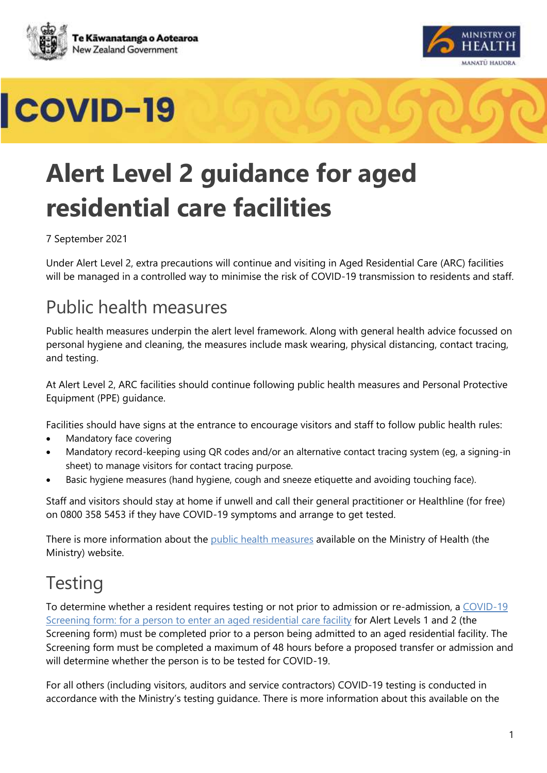





# **Alert Level 2 guidance for aged residential care facilities**

#### 7 September 2021

Under Alert Level 2, extra precautions will continue and visiting in Aged Residential Care (ARC) facilities will be managed in a controlled way to minimise the risk of COVID-19 transmission to residents and staff.

#### Public health measures

Public health measures underpin the alert level framework. Along with general health advice focussed on personal hygiene and cleaning, the measures include mask wearing, physical distancing, contact tracing, and testing.

At Alert Level 2, ARC facilities should continue following public health measures and Personal Protective Equipment (PPE) guidance.

Facilities should have signs at the entrance to encourage visitors and staff to follow public health rules:

- Mandatory face covering
- Mandatory record-keeping using QR codes and/or an alternative contact tracing system (eg, a signing-in sheet) to manage visitors for contact tracing purpose.
- [Basic hygiene measures](https://www.health.govt.nz/our-work/diseases-and-conditions/covid-19-novel-coronavirus/covid-19-health-advice-general-public/covid-19-use-face-masks-community) (hand hygiene, cough and sneeze etiquette and avoiding touching face).

Staff and visitors should stay at home if unwell and call their general practitioner or Healthline (for free) on 0800 358 5453 if they have COVID-19 symptoms and arrange to get tested.

There is more information about the [public health measures](https://www.health.govt.nz/our-work/diseases-and-conditions/covid-19-novel-coronavirus/covid-19-health-advice-public/protecting-yourself-and-others-covid-19) available on the Ministry of Health (the Ministry) website.

#### **Testing**

To determine whether a resident requires testing or not prior to admission or re-admission, a [COVID-19](https://www.health.govt.nz/our-work/diseases-and-conditions/covid-19-novel-coronavirus/covid-19-resources-health-professionals/covid-19-health-sector-providers/covid-19-aged-care-providers#screening-form)  [Screening form: for a person to enter an aged residential care facility](https://www.health.govt.nz/our-work/diseases-and-conditions/covid-19-novel-coronavirus/covid-19-resources-health-professionals/covid-19-health-sector-providers/covid-19-aged-care-providers#screening-form) for Alert Levels 1 and 2 (the Screening form) must be completed prior to a person being admitted to an aged residential facility. The Screening form must be completed a maximum of 48 hours before a proposed transfer or admission and will determine whether the person is to be tested for COVID-19.

For all others (including visitors, auditors and service contractors) COVID-19 testing is conducted in accordance with the Ministry's testing guidance. There is more information about this available on the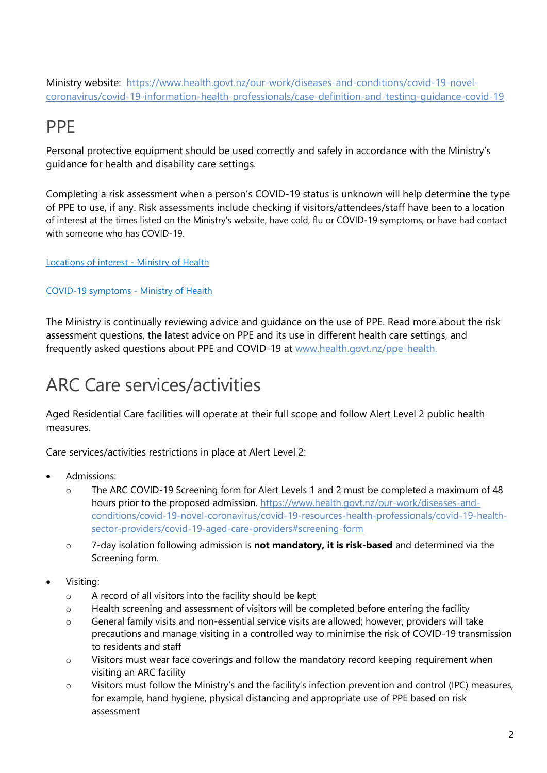Ministry website: [https://www.health.govt.nz/our-work/diseases-and-conditions/covid-19-novel](https://www.health.govt.nz/our-work/diseases-and-conditions/covid-19-novel-coronavirus/covid-19-information-health-professionals/case-definition-and-testing-guidance-covid-19)[coronavirus/covid-19-information-health-professionals/case-definition-and-testing-guidance-covid-19](https://www.health.govt.nz/our-work/diseases-and-conditions/covid-19-novel-coronavirus/covid-19-information-health-professionals/case-definition-and-testing-guidance-covid-19)

#### PPE

Personal protective equipment should be used correctly and safely in accordance with the Ministry's guidance for health and disability care settings.

Completing a risk assessment when a person's COVID-19 status is unknown will help determine the type of PPE to use, if any. Risk assessments include checking if visitors/attendees/staff have been to a location of interest at the times listed on the Ministry's website, have cold, flu or COVID-19 symptoms, or have had contact with someone who has COVID-19.

[Locations of interest -](https://www.health.govt.nz/our-work/diseases-and-conditions/covid-19-novel-coronavirus/covid-19-health-advice-public/contact-tracing-covid-19/covid-19-contact-tracing-locations-interest?fbclid=IwAR2M7adpoH8Bj-_LapLTIFl91qhzThpBaedkd95qqAZprooknC13WUmhc2M) Ministry of Health

#### [COVID-19 symptoms -](https://www.health.govt.nz/our-work/diseases-and-conditions/covid-19-novel-coronavirus/covid-19-health-advice-public/about-covid-19#symptoms) Ministry of Health

The Ministry is continually reviewing advice and guidance on the use of PPE. Read more about the risk assessment questions, the latest advice on PPE and its use in different health care settings, and frequently asked questions about PPE and COVID-19 at [www.health.govt.nz/ppe-health.](http://www.health.govt.nz/ppe-health)

### ARC Care services/activities

Aged Residential Care facilities will operate at their full scope and follow Alert Level 2 public health measures.

Care services/activities restrictions in place at Alert Level 2:

- Admissions:
	- o The ARC COVID-19 Screening form for Alert Levels 1 and 2 must be completed a maximum of 48 hours prior to the proposed admission. [https://www.health.govt.nz/our-work/diseases-and](https://www.health.govt.nz/our-work/diseases-and-conditions/covid-19-novel-coronavirus/covid-19-resources-health-professionals/covid-19-health-sector-providers/covid-19-aged-care-providers#screening-form)[conditions/covid-19-novel-coronavirus/covid-19-resources-health-professionals/covid-19-health](https://www.health.govt.nz/our-work/diseases-and-conditions/covid-19-novel-coronavirus/covid-19-resources-health-professionals/covid-19-health-sector-providers/covid-19-aged-care-providers#screening-form)[sector-providers/covid-19-aged-care-providers#screening-form](https://www.health.govt.nz/our-work/diseases-and-conditions/covid-19-novel-coronavirus/covid-19-resources-health-professionals/covid-19-health-sector-providers/covid-19-aged-care-providers#screening-form)
	- o 7-day isolation following admission is **not mandatory, it is risk-based** and determined via the Screening form.
- Visiting:
	- o A record of all visitors into the facility should be kept
	- o Health screening and assessment of visitors will be completed before entering the facility
	- o General family visits and non-essential service visits are allowed; however, providers will take precautions and manage visiting in a controlled way to minimise the risk of COVID-19 transmission to residents and staff
	- $\circ$  Visitors must wear face coverings and follow the mandatory record keeping requirement when visiting an ARC facility
	- o Visitors must follow the Ministry's and the facility's infection prevention and control (IPC) measures, for example, hand hygiene, physical distancing and appropriate use of PPE based on risk assessment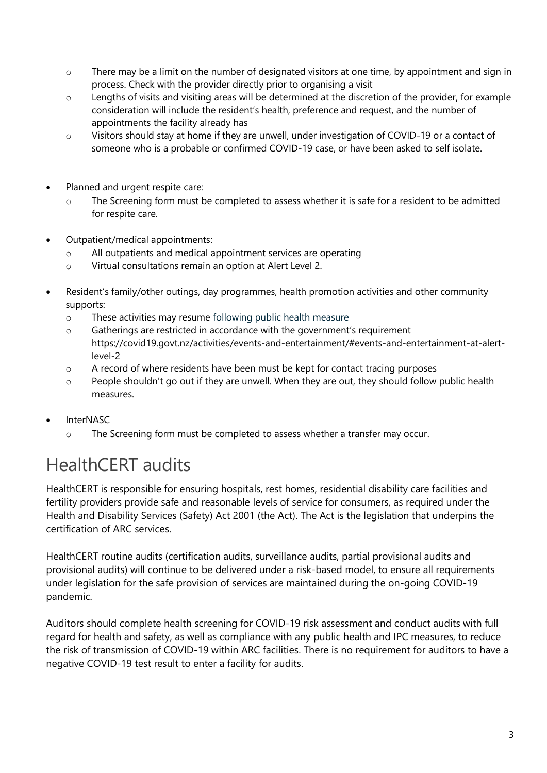- $\circ$  There may be a limit on the number of designated visitors at one time, by appointment and sign in process. Check with the provider directly prior to organising a visit
- o Lengths of visits and visiting areas will be determined at the discretion of the provider, for example consideration will include the resident's health, preference and request, and the number of appointments the facility already has
- o Visitors should stay at home if they are unwell, under investigation of COVID-19 or a contact of someone who is a probable or confirmed COVID-19 case, or have been asked to self isolate.
- Planned and urgent respite care:
	- o The Screening form must be completed to assess whether it is safe for a resident to be admitted for respite care.
- Outpatient/medical appointments:
	- o All outpatients and medical appointment services are operating
	- o Virtual consultations remain an option at Alert Level 2.
- Resident's family/other outings, day programmes, health promotion activities and other community supports:
	- o These activities may resume following public health measure
	- $\circ$  Gatherings are restricted in accordance with the government's requirement https://covid19.govt.nz/activities/events-and-entertainment/#events-and-entertainment-at-alertlevel-2
	- $\circ$  A record of where residents have been must be kept for contact tracing purposes
	- $\circ$  People shouldn't go out if they are unwell. When they are out, they should follow public health measures.
- InterNASC
	- o The Screening form must be completed to assess whether a transfer may occur.

### HealthCERT audits

HealthCERT is responsible for ensuring hospitals, rest homes, residential disability care facilities and fertility providers provide safe and reasonable levels of service for consumers, as required under the Health and Disability Services (Safety) Act 2001 (the Act). The Act is the legislation that underpins the certification of ARC services.

HealthCERT routine audits (certification audits, surveillance audits, partial provisional audits and provisional audits) will continue to be delivered under a risk-based model, to ensure all requirements under legislation for the safe provision of services are maintained during the on-going COVID-19 pandemic.

Auditors should complete health screening for COVID-19 risk assessment and conduct audits with full regard for health and safety, as well as compliance with any public health and IPC measures, to reduce the risk of transmission of COVID-19 within ARC facilities. There is no requirement for auditors to have a negative COVID-19 test result to enter a facility for audits.